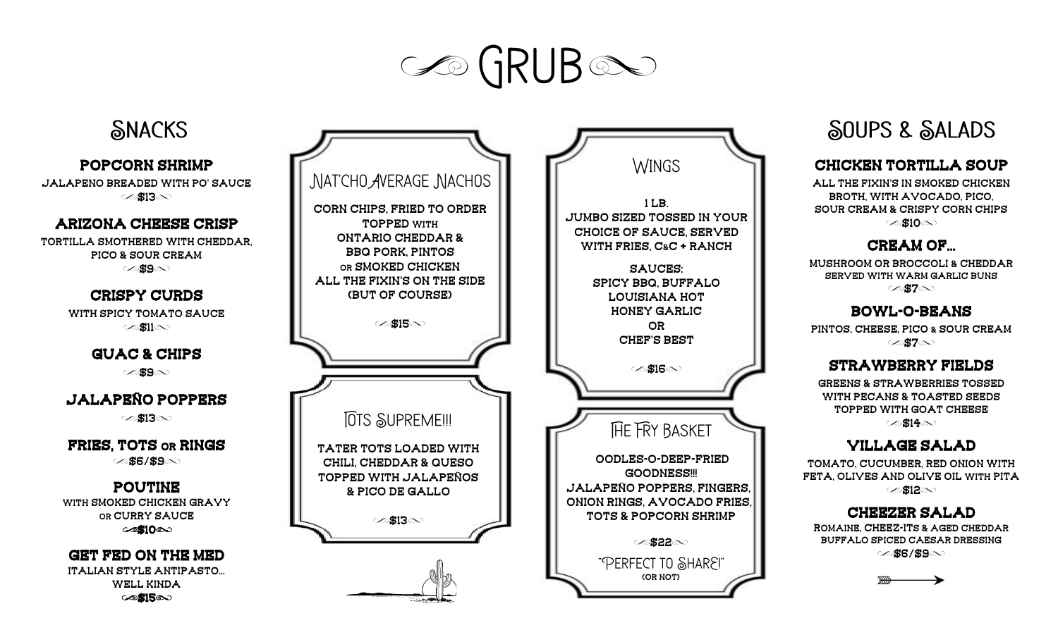# **SO GRUB**



# SOUPS & SALADS

#### Chicken Tortilla soup

all the fixin's in smoked chicken broth, with avocado, pico, Sour cream & crispy corn chips  $\in$ \$10 $\infty$ 

#### CREAM OF...

mushroom or Broccoli & cheddar served with warm garlic buns  $\oslash$ \$7 $\infty$ 

## Bowl-O-Beans

pintos, cheese, pico & sour cream  $\oslash$ \$7 $\infty$ 

#### Strawberry Fields

Greens & strawberries tossed with pecans & Toasted seeds topped with goat Cheese  $\oslash$ \$14 $\infty$ 

## Village Salad

tomato, cucumber, red onion with feta, Olives and olive oil with pita ⊘12

### **CHEEZER SALAD**

romaine, cheez-its & Aged cheddar Buffalo spiced Caesar Dressing ে**\$6/\$9**্